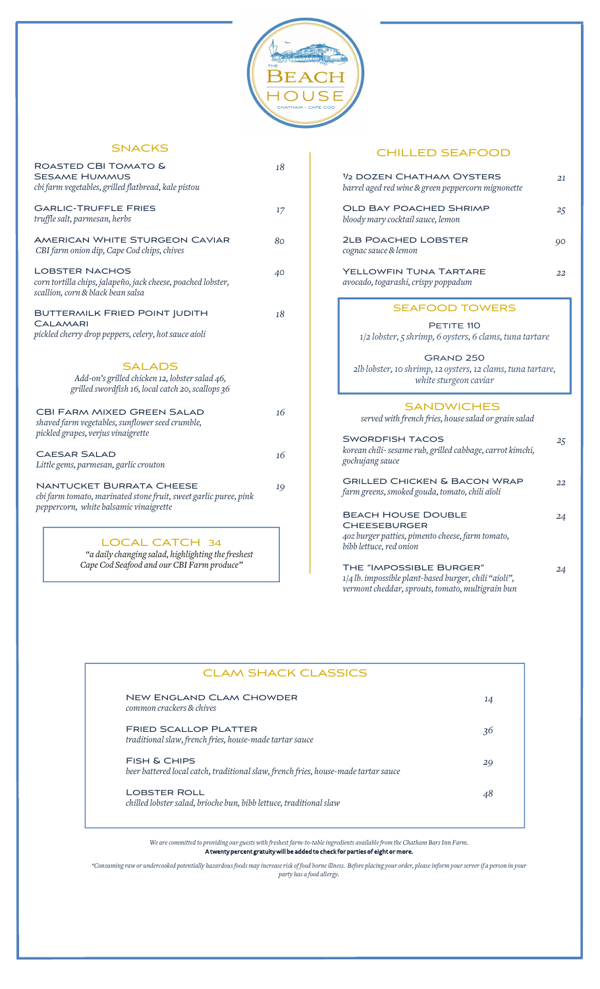

### **SNACKS**

| ROASTED CBI TOMATO &                                                                                                                                                                                                                                                                                                                                              | 18 |                                         |
|-------------------------------------------------------------------------------------------------------------------------------------------------------------------------------------------------------------------------------------------------------------------------------------------------------------------------------------------------------------------|----|-----------------------------------------|
| <b>SESAME HUMMUS</b><br>cbi farm vegetables, grilled flatbread, kale pistou                                                                                                                                                                                                                                                                                       |    | $1/2$ DOZ<br>barrel aged                |
| <b>GARLIC-TRUFFLE FRIES</b><br>truffle salt, parmesan, herbs                                                                                                                                                                                                                                                                                                      | 17 | OLD B<br>bloody ma                      |
| <b>AMERICAN WHITE STURGEON CAVIAR</b><br>CBI farm onion dip, Cape Cod chips, chives                                                                                                                                                                                                                                                                               | 80 | 2LB PO<br>cognac sau                    |
| <b>LOBSTER NACHOS</b><br>corn tortilla chips, jalapeño, jack cheese, poached lobster,<br>scallion, corn & black bean salsa                                                                                                                                                                                                                                        | 40 | <b>YELLOV</b><br>avocado, to            |
| <b>BUTTERMILK FRIED POINT JUDITH</b><br><b>CALAMARI</b><br>pickled cherry drop peppers, celery, hot sauce aioli                                                                                                                                                                                                                                                   | 18 | $1/2$ lo                                |
| <b>SALADS</b><br>Add-on's grilled chicken 12, lobster salad 46,<br>grilled swordfish 16, local catch 20, scallops 36                                                                                                                                                                                                                                              |    | 2lb lobs                                |
| <b>CBI FARM MIXED GREEN SALAD</b><br>shaved farm vegetables, sunflower seed crumble,                                                                                                                                                                                                                                                                              | 16 | serve                                   |
| pickled grapes, verjus vinaigrette<br><b>CAESAR SALAD</b><br>Little gems, parmesan, garlic crouton                                                                                                                                                                                                                                                                | 16 | <b>SWORD</b><br>korean chi<br>gochujang |
| <b>NANTUCKET BURRATA CHEESE</b><br>cbi farm tomato, marinated stone fruit, sweet garlic puree, pink                                                                                                                                                                                                                                                               | 19 | <b>GRILLE</b><br>farm greer             |
| peppercorn, white balsamic vinaigrette                                                                                                                                                                                                                                                                                                                            |    | <b>BEACH</b><br><b>CHEES</b>            |
| $\overline{1}$ $\cap$ $\cap$ $\overline{1}$ $\cap$ $\overline{1}$ $\cap$ $\overline{1}$ $\cap$ $\overline{1}$ $\cap$ $\overline{1}$ $\cap$ $\overline{1}$ $\cap$ $\overline{1}$ $\cap$ $\overline{1}$ $\overline{1}$ $\cap$ $\overline{1}$ $\cap$ $\overline{1}$ $\overline{1}$ $\cap$ $\overline{1}$ $\overline{1}$ $\overline{1}$ $\overline{1}$ $\overline{1}$ |    | 40z burger                              |

LOCAL CATCH 34 *"a daily changing salad, highlighting thefreshest Cape Cod Seafood and ourCBI Farm produce"*

### CHILLED SEAFOOD

|    | 1/2 DOZEN CHATHAM OYSTERS<br>barrel aged red wine & green peppercorn mignonette                                                                                                                            | 21 |
|----|------------------------------------------------------------------------------------------------------------------------------------------------------------------------------------------------------------|----|
| 17 | <b>OLD BAY POACHED SHRIMP</b><br>bloody mary cocktail sauce, lemon                                                                                                                                         | 25 |
| 80 | <b>2LB POACHED LOBSTER</b><br>cognac sauce & lemon                                                                                                                                                         | 90 |
| 40 | YELLOWFIN TUNA TARTARE<br>avocado, togarashi, crispy poppadum                                                                                                                                              | 22 |
| 18 | <b>SEAFOOD TOWERS</b><br>PETITE 110<br>1/2 lobster, 5 shrimp, 6 oysters, 6 clams, tuna tartare<br><b>GRAND 250</b><br>2lb lobster, 10 shrimp, 12 oysters, 12 clams, tuna tartare,<br>white sturgeon caviar |    |
| 16 | <b>SANDWICHES</b><br>served with french fries, house salad or grain salad                                                                                                                                  |    |
| 16 | <b>SWORDFISH TACOS</b><br>korean chili- sesame rub, grilled cabbage, carrot kimchi,<br>gochujang sauce                                                                                                     | 25 |
| 19 | <b>GRILLED CHICKEN &amp; BACON WRAP</b><br>farm greens, smoked gouda, tomato, chili aïoli                                                                                                                  | 22 |
|    | <b>BEACH HOUSE DOUBLE</b><br><b>CHEESEBURGER</b><br>402 burger patties, pimento cheese, farm tomato,<br>bibb lettuce, red onion                                                                            | 24 |
|    | THE "IMPOSSIBLE BURGER"                                                                                                                                                                                    | 24 |

*1/4 lb. impossible plant-based burger,chili "aioli", vermontcheddar,sprouts, tomato, multigrain bun*

| <b>CLAM SHACK CLASSICS</b>                                                                                    |    |
|---------------------------------------------------------------------------------------------------------------|----|
| <b>NEW ENGLAND CLAM CHOWDER</b><br>common crackers & chives                                                   | 14 |
| <b>FRIED SCALLOP PLATTER</b><br>traditional slaw, french fries, house-made tartar sauce                       | 36 |
| <b>FISH &amp; CHIPS</b><br>beer battered local catch, traditional slaw, french fries, house-made tartar sauce | 29 |
| <b>LOBSTER ROLL</b><br>chilled lobster salad, brioche bun, bibb lettuce, traditional slaw                     | 48 |

*We arecommitted to providing our guestswith freshest farm-to-tableingredients availablefrom the Chatham Bars Inn Farm.* A twenty percent gratuity will be added to check for parties of eight or more.

\*Consuming raw or undercooked potentially hazardous foods may increase risk of food borne illness. Before placing your order, please inform your server if a person in your *party has a food allergy.*